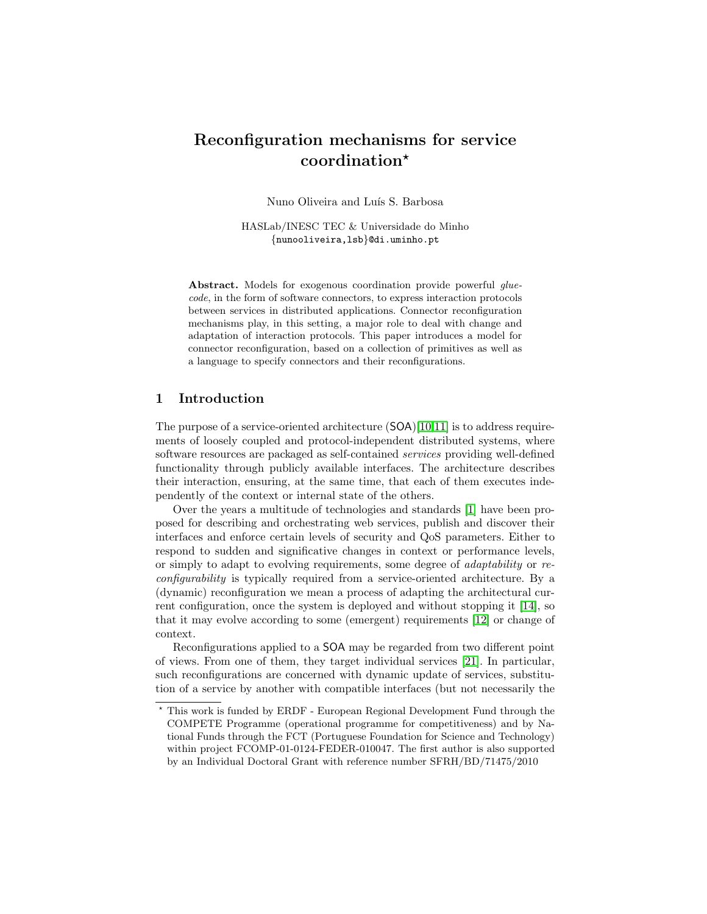# Reconfiguration mechanisms for service coordination?

Nuno Oliveira and Luís S. Barbosa

HASLab/INESC TEC & Universidade do Minho {nunooliveira,lsb}@di.uminho.pt

Abstract. Models for exogenous coordination provide powerful gluecode, in the form of software connectors, to express interaction protocols between services in distributed applications. Connector reconfiguration mechanisms play, in this setting, a major role to deal with change and adaptation of interaction protocols. This paper introduces a model for connector reconfiguration, based on a collection of primitives as well as a language to specify connectors and their reconfigurations.

## 1 Introduction

The purpose of a service-oriented architecture  $(SOA)[10,11]$  $(SOA)[10,11]$  $(SOA)[10,11]$  is to address requirements of loosely coupled and protocol-independent distributed systems, where software resources are packaged as self-contained services providing well-defined functionality through publicly available interfaces. The architecture describes their interaction, ensuring, at the same time, that each of them executes independently of the context or internal state of the others.

Over the years a multitude of technologies and standards [\[1\]](#page-14-0) have been proposed for describing and orchestrating web services, publish and discover their interfaces and enforce certain levels of security and QoS parameters. Either to respond to sudden and significative changes in context or performance levels, or simply to adapt to evolving requirements, some degree of adaptability or reconfigurability is typically required from a service-oriented architecture. By a (dynamic) reconfiguration we mean a process of adapting the architectural current configuration, once the system is deployed and without stopping it [\[14\]](#page-15-2), so that it may evolve according to some (emergent) requirements [\[12\]](#page-15-3) or change of context.

Reconfigurations applied to a SOA may be regarded from two different point of views. From one of them, they target individual services [\[21\]](#page-15-4). In particular, such reconfigurations are concerned with dynamic update of services, substitution of a service by another with compatible interfaces (but not necessarily the

<sup>?</sup> This work is funded by ERDF - European Regional Development Fund through the COMPETE Programme (operational programme for competitiveness) and by National Funds through the FCT (Portuguese Foundation for Science and Technology) within project FCOMP-01-0124-FEDER-010047. The first author is also supported by an Individual Doctoral Grant with reference number SFRH/BD/71475/2010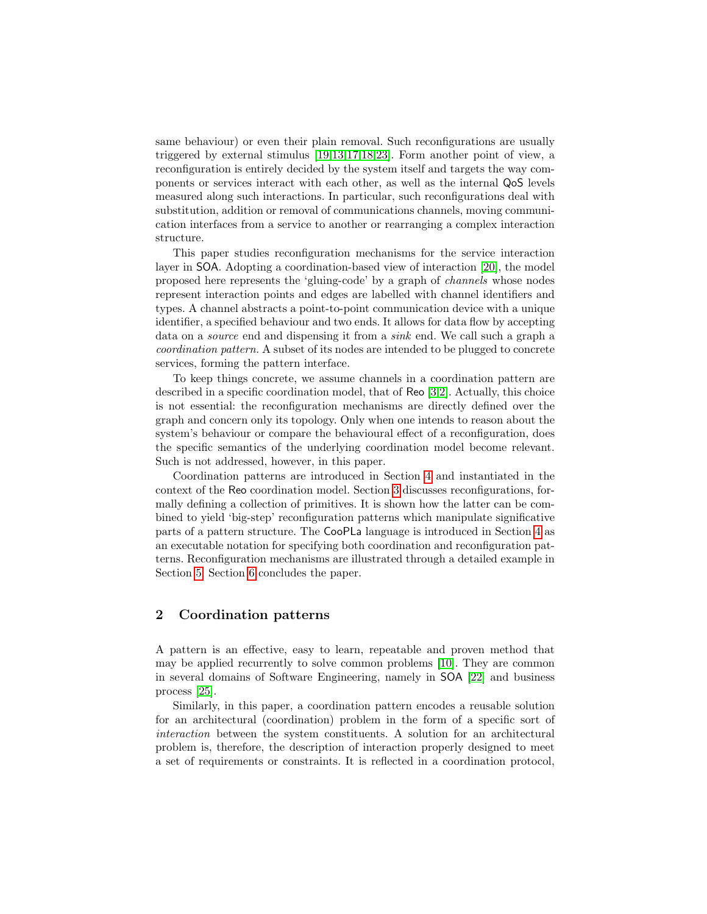same behaviour) or even their plain removal. Such reconfigurations are usually triggered by external stimulus [\[19,](#page-15-5)[13,](#page-15-6)[17](#page-15-7)[,18,](#page-15-8)[23\]](#page-16-0). Form another point of view, a reconfiguration is entirely decided by the system itself and targets the way components or services interact with each other, as well as the internal QoS levels measured along such interactions. In particular, such reconfigurations deal with substitution, addition or removal of communications channels, moving communication interfaces from a service to another or rearranging a complex interaction structure.

This paper studies reconfiguration mechanisms for the service interaction layer in SOA. Adopting a coordination-based view of interaction [\[20\]](#page-15-9), the model proposed here represents the 'gluing-code' by a graph of channels whose nodes represent interaction points and edges are labelled with channel identifiers and types. A channel abstracts a point-to-point communication device with a unique identifier, a specified behaviour and two ends. It allows for data flow by accepting data on a *source* end and dispensing it from a *sink* end. We call such a graph a coordination pattern. A subset of its nodes are intended to be plugged to concrete services, forming the pattern interface.

To keep things concrete, we assume channels in a coordination pattern are described in a specific coordination model, that of Reo [\[3,](#page-14-1)[2\]](#page-14-2). Actually, this choice is not essential: the reconfiguration mechanisms are directly defined over the graph and concern only its topology. Only when one intends to reason about the system's behaviour or compare the behavioural effect of a reconfiguration, does the specific semantics of the underlying coordination model become relevant. Such is not addressed, however, in this paper.

Coordination patterns are introduced in Section [4](#page-8-0) and instantiated in the context of the Reo coordination model. Section [3](#page-4-0) discusses reconfigurations, formally defining a collection of primitives. It is shown how the latter can be combined to yield 'big-step' reconfiguration patterns which manipulate significative parts of a pattern structure. The CooPLa language is introduced in Section [4](#page-8-0) as an executable notation for specifying both coordination and reconfiguration patterns. Reconfiguration mechanisms are illustrated through a detailed example in Section [5.](#page-9-0) Section [6](#page-12-0) concludes the paper.

## 2 Coordination patterns

A pattern is an effective, easy to learn, repeatable and proven method that may be applied recurrently to solve common problems [\[10\]](#page-15-0). They are common in several domains of Software Engineering, namely in SOA [\[22\]](#page-16-1) and business process [\[25\]](#page-16-2).

Similarly, in this paper, a coordination pattern encodes a reusable solution for an architectural (coordination) problem in the form of a specific sort of interaction between the system constituents. A solution for an architectural problem is, therefore, the description of interaction properly designed to meet a set of requirements or constraints. It is reflected in a coordination protocol,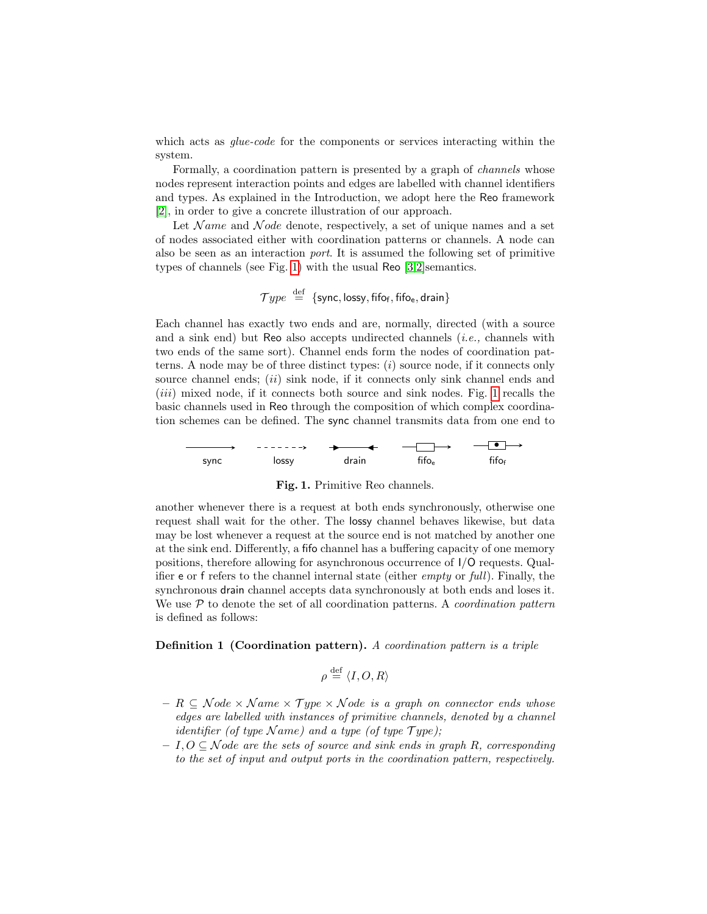which acts as *glue-code* for the components or services interacting within the system.

Formally, a coordination pattern is presented by a graph of channels whose nodes represent interaction points and edges are labelled with channel identifiers and types. As explained in the Introduction, we adopt here the Reo framework [\[2\]](#page-14-2), in order to give a concrete illustration of our approach.

Let  $Name$  and  $Node$  denote, respectively, a set of unique names and a set of nodes associated either with coordination patterns or channels. A node can also be seen as an interaction port. It is assumed the following set of primitive types of channels (see Fig. [1\)](#page-2-0) with the usual Reo [\[3,](#page-14-1)[2\]](#page-14-2)semantics.

$$
\mathcal{Ty}pe \stackrel{\mathrm{def}}{=} \{\mathsf{sync}, \mathsf{lossy}, \mathsf{fifo}_\mathsf{f}, \mathsf{fifo}_\mathsf{e}, \mathsf{drain}\}
$$

Each channel has exactly two ends and are, normally, directed (with a source and a sink end) but Reo also accepts undirected channels (i.e., channels with two ends of the same sort). Channel ends form the nodes of coordination patterns. A node may be of three distinct types:  $(i)$  source node, if it connects only source channel ends; *(ii)* sink node, if it connects only sink channel ends and (iii) mixed node, if it connects both source and sink nodes. Fig. [1](#page-2-0) recalls the basic channels used in Reo through the composition of which complex coordination schemes can be defined. The sync channel transmits data from one end to



Fig. 1. Primitive Reo channels.

<span id="page-2-0"></span>another whenever there is a request at both ends synchronously, otherwise one request shall wait for the other. The lossy channel behaves likewise, but data may be lost whenever a request at the source end is not matched by another one at the sink end. Differently, a fifo channel has a buffering capacity of one memory positions, therefore allowing for asynchronous occurrence of I/O requests. Qualifier e or f refers to the channel internal state (either *empty* or *full*). Finally, the synchronous drain channel accepts data synchronously at both ends and loses it. We use  $P$  to denote the set of all coordination patterns. A *coordination pattern* is defined as follows:

#### Definition 1 (Coordination pattern). A coordination pattern is a triple

$$
\rho \stackrel{\text{def}}{=} \langle I, O, R \rangle
$$

- $R \subseteq Node \times Name \times Type \times Node$  is a graph on connector ends whose edges are labelled with instances of primitive channels, denoted by a channel *identifier (of type Name)* and a type (of type  $Type$ );
- $I, O \subseteq \text{Node}$  are the sets of source and sink ends in graph R, corresponding to the set of input and output ports in the coordination pattern, respectively.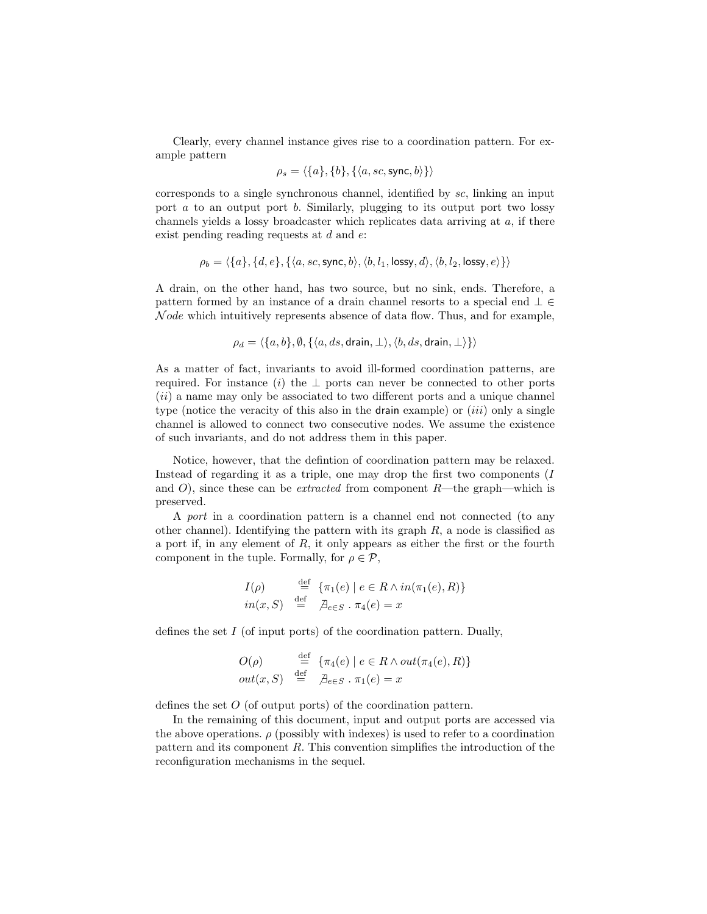Clearly, every channel instance gives rise to a coordination pattern. For example pattern

$$
\rho_s = \langle \{a\}, \{b\}, \{\langle a, sc, \mathsf{sync}, b \rangle\} \rangle
$$

corresponds to a single synchronous channel, identified by sc, linking an input port a to an output port b. Similarly, plugging to its output port two lossy channels yields a lossy broadcaster which replicates data arriving at a, if there exist pending reading requests at  $d$  and  $e$ :

$$
\rho_b = \langle \{a\}, \{d, e\}, \{\langle a, sc, \textsf{sync}, b \rangle, \langle b, l_1, \textsf{lossy}, d \rangle, \langle b, l_2, \textsf{lossy}, e \rangle\} \rangle
$$

A drain, on the other hand, has two source, but no sink, ends. Therefore, a pattern formed by an instance of a drain channel resorts to a special end  $\perp \in$  $\mathcal{N}$ *ode* which intuitively represents absence of data flow. Thus, and for example,

$$
\rho_d = \langle \{a, b\}, \emptyset, \{\langle a, ds, \text{drain}, \perp \rangle, \langle b, ds, \text{drain}, \perp \rangle\} \rangle
$$

As a matter of fact, invariants to avoid ill-formed coordination patterns, are required. For instance (i) the  $\perp$  ports can never be connected to other ports  $(ii)$  a name may only be associated to two different ports and a unique channel type (notice the veracity of this also in the drain example) or  $(iii)$  only a single channel is allowed to connect two consecutive nodes. We assume the existence of such invariants, and do not address them in this paper.

Notice, however, that the defintion of coordination pattern may be relaxed. Instead of regarding it as a triple, one may drop the first two components  $(I)$ and  $O$ ), since these can be *extracted* from component  $R$ —the graph—which is preserved.

A port in a coordination pattern is a channel end not connected (to any other channel). Identifying the pattern with its graph  $R$ , a node is classified as a port if, in any element of  $R$ , it only appears as either the first or the fourth component in the tuple. Formally, for  $\rho \in \mathcal{P}$ ,

$$
I(\rho) \equiv \{ \pi_1(e) \mid e \in R \land in(\pi_1(e), R) \}
$$
  
 
$$
in(x, S) \stackrel{\text{def}}{=} \mathcal{A}_{e \in S} \cdot \pi_4(e) = x
$$

defines the set  $I$  (of input ports) of the coordination pattern. Dually,

$$
O(\rho) \qquad \stackrel{\text{def}}{=} \{\pi_4(e) \mid e \in R \land out(\pi_4(e), R)\}
$$
  

$$
out(x, S) \qquad \stackrel{\text{def}}{=} \beta_{e \in S} \cdot \pi_1(e) = x
$$

defines the set O (of output ports) of the coordination pattern.

In the remaining of this document, input and output ports are accessed via the above operations.  $\rho$  (possibly with indexes) is used to refer to a coordination pattern and its component R. This convention simplifies the introduction of the reconfiguration mechanisms in the sequel.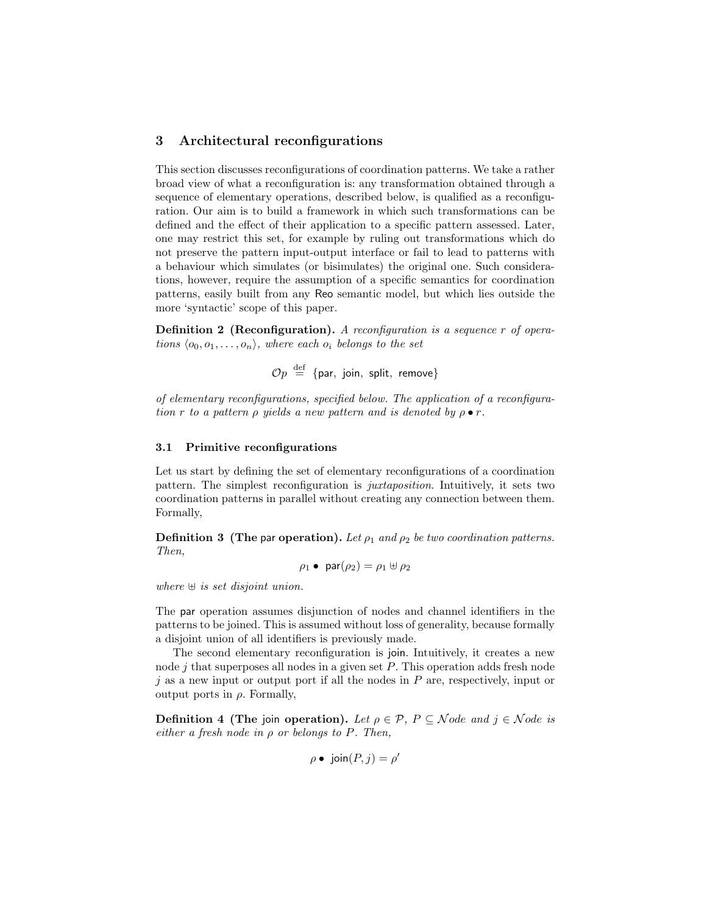## <span id="page-4-0"></span>3 Architectural reconfigurations

This section discusses reconfigurations of coordination patterns. We take a rather broad view of what a reconfiguration is: any transformation obtained through a sequence of elementary operations, described below, is qualified as a reconfiguration. Our aim is to build a framework in which such transformations can be defined and the effect of their application to a specific pattern assessed. Later, one may restrict this set, for example by ruling out transformations which do not preserve the pattern input-output interface or fail to lead to patterns with a behaviour which simulates (or bisimulates) the original one. Such considerations, however, require the assumption of a specific semantics for coordination patterns, easily built from any Reo semantic model, but which lies outside the more 'syntactic' scope of this paper.

**Definition 2** (Reconfiguration). A reconfiguration is a sequence  $r$  of operations  $\langle o_0, o_1, \ldots, o_n \rangle$ , where each  $o_i$  belongs to the set

<span id="page-4-1"></span> $\mathcal{O}p\ \stackrel{\mathrm{def}}{=}\ \{\mathsf{par},\ \mathsf{join},\ \mathsf{split},\ \mathsf{remove}\}$ 

of elementary reconfigurations, specified below. The application of a reconfiguration r to a pattern  $\rho$  yields a new pattern and is denoted by  $\rho \bullet r$ .

#### 3.1 Primitive reconfigurations

Let us start by defining the set of elementary reconfigurations of a coordination pattern. The simplest reconfiguration is juxtaposition. Intuitively, it sets two coordination patterns in parallel without creating any connection between them. Formally,

**Definition 3 (The par operation).** Let  $\rho_1$  and  $\rho_2$  be two coordination patterns. Then,

$$
\rho_1 \bullet \, \text{par}(\rho_2) = \rho_1 \uplus \rho_2
$$

where  $\forall$  is set disjoint union.

The par operation assumes disjunction of nodes and channel identifiers in the patterns to be joined. This is assumed without loss of generality, because formally a disjoint union of all identifiers is previously made.

The second elementary reconfiguration is join. Intuitively, it creates a new node  $j$  that superposes all nodes in a given set  $P$ . This operation adds fresh node  $j$  as a new input or output port if all the nodes in  $P$  are, respectively, input or output ports in  $\rho$ . Formally,

**Definition 4 (The join operation).** Let  $\rho \in \mathcal{P}$ ,  $P \subseteq Node$  and  $j \in Node$  is either a fresh node in  $\rho$  or belongs to P. Then,

$$
\rho \bullet \text{ join}(P,j) = \rho'
$$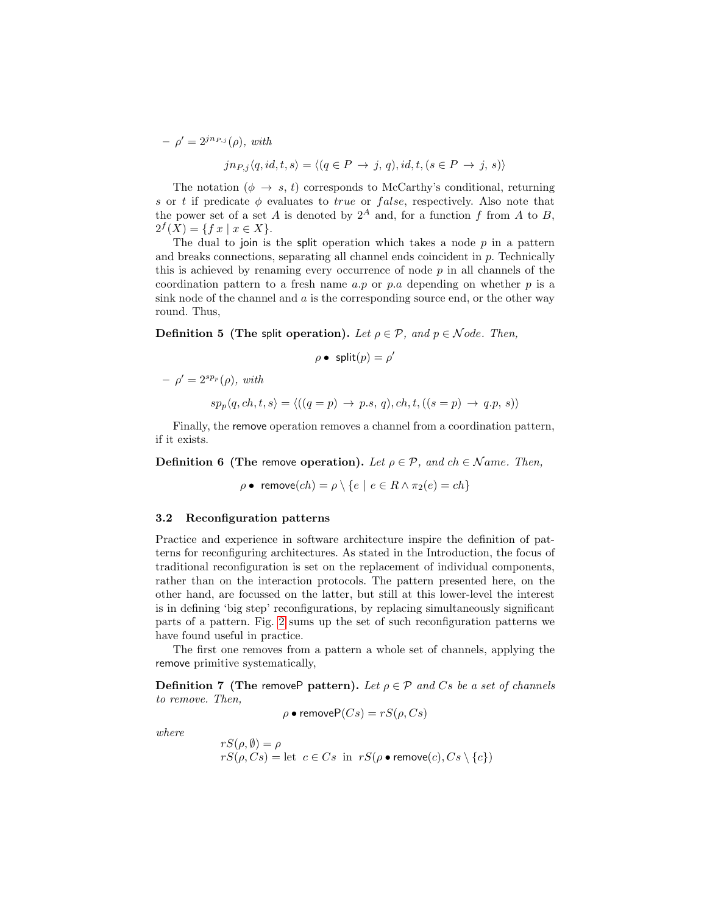$- \rho' = 2^{jn_{P,j}}(\rho)$ , with

$$
jn_{P,j}\langle q, id, t, s \rangle = \langle (q \in P \to j, q), id, t, (s \in P \to j, s) \rangle
$$

The notation ( $\phi \rightarrow s, t$ ) corresponds to McCarthy's conditional, returning s or t if predicate  $\phi$  evaluates to true or false, respectively. Also note that the power set of a set A is denoted by  $2^A$  and, for a function f from A to B,  $2^f(X) = \{f \, x \mid x \in X\}.$ 

The dual to join is the split operation which takes a node  $p$  in a pattern and breaks connections, separating all channel ends coincident in  $p$ . Technically this is achieved by renaming every occurrence of node p in all channels of the coordination pattern to a fresh name  $a.p$  or  $p.a$  depending on whether  $p$  is a sink node of the channel and  $a$  is the corresponding source end, or the other way round. Thus,

**Definition 5 (The split operation).** Let  $\rho \in \mathcal{P}$ , and  $p \in \mathcal{N}$  ode. Then,

$$
\rho \bullet \ \mathsf{split}(p) = \rho'
$$

 $- \rho' = 2^{sp_p}(\rho), \text{ with}$ 

$$
sp_p\langle q, ch, t, s \rangle = \langle ((q = p) \rightarrow p.s, q), ch, t, ((s = p) \rightarrow q.p, s) \rangle
$$

Finally, the remove operation removes a channel from a coordination pattern, if it exists.

**Definition 6 (The remove operation).** Let  $\rho \in \mathcal{P}$ , and ch  $\in \mathcal{N}$ ame. Then,

$$
\rho \bullet \text{ remove}(ch) = \rho \setminus \{e \mid e \in R \land \pi_2(e) = ch\}
$$

#### <span id="page-5-0"></span>3.2 Reconfiguration patterns

Practice and experience in software architecture inspire the definition of patterns for reconfiguring architectures. As stated in the Introduction, the focus of traditional reconfiguration is set on the replacement of individual components, rather than on the interaction protocols. The pattern presented here, on the other hand, are focussed on the latter, but still at this lower-level the interest is in defining 'big step' reconfigurations, by replacing simultaneously significant parts of a pattern. Fig. [2](#page-6-0) sums up the set of such reconfiguration patterns we have found useful in practice.

The first one removes from a pattern a whole set of channels, applying the remove primitive systematically,

**Definition 7** (The removeP pattern). Let  $\rho \in \mathcal{P}$  and Cs be a set of channels to remove. Then,

$$
\rho \bullet removeP(Cs) = rS(\rho, Cs)
$$

where

$$
rS(\rho, \emptyset) = \rho
$$
  
 
$$
rS(\rho, Cs) = \text{let } c \in Cs \text{ in } rS(\rho \bullet \text{remove}(c), Cs \setminus \{c\})
$$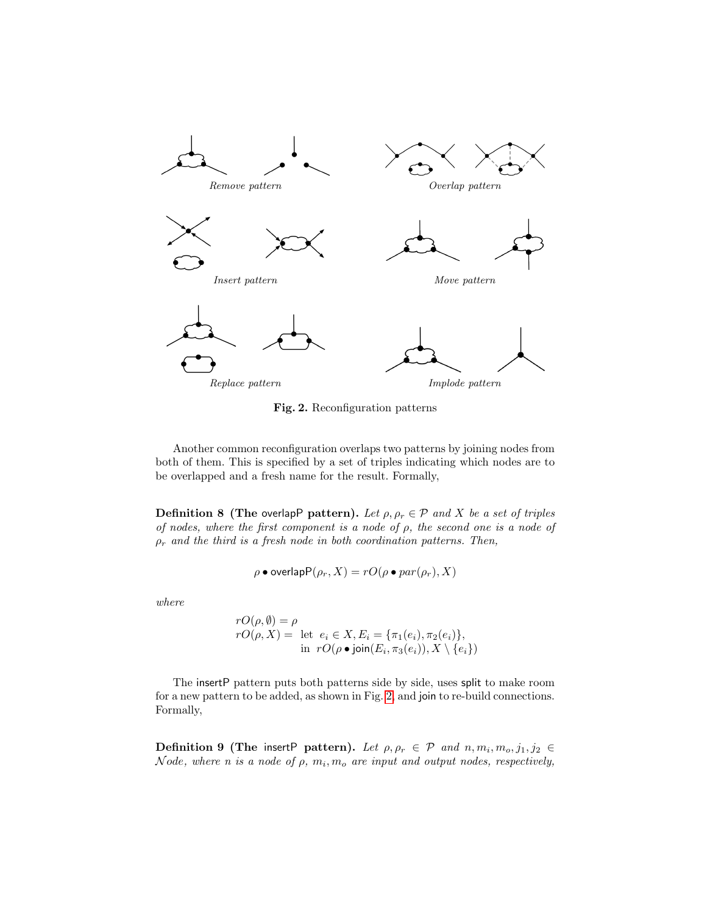

Fig. 2. Reconfiguration patterns

<span id="page-6-0"></span>Another common reconfiguration overlaps two patterns by joining nodes from both of them. This is specified by a set of triples indicating which nodes are to be overlapped and a fresh name for the result. Formally,

<span id="page-6-1"></span>**Definition 8 (The overlapP pattern).** Let  $\rho, \rho_r \in \mathcal{P}$  and X be a set of triples of nodes, where the first component is a node of  $\rho$ , the second one is a node of  $\rho_r$  and the third is a fresh node in both coordination patterns. Then,

$$
\rho \bullet \text{overlapP}(\rho_r, X) = rO(\rho \bullet par(\rho_r), X)
$$

where

$$
rO(\rho, \emptyset) = \rho
$$
  
\n
$$
rO(\rho, X) = \text{let } e_i \in X, E_i = {\pi_1(e_i), \pi_2(e_i)},
$$
  
\n
$$
\text{in } rO(\rho \bullet \text{join}(E_i, \pi_3(e_i)), X \setminus \{e_i\})
$$

The insertP pattern puts both patterns side by side, uses split to make room for a new pattern to be added, as shown in Fig. [2,](#page-6-0) and join to re-build connections. Formally,

**Definition 9 (The insertP pattern).** Let  $\rho, \rho_r \in \mathcal{P}$  and  $n, m_i, m_o, j_1, j_2 \in$ Node, where n is a node of  $\rho$ ,  $m_i$ ,  $m_o$  are input and output nodes, respectively,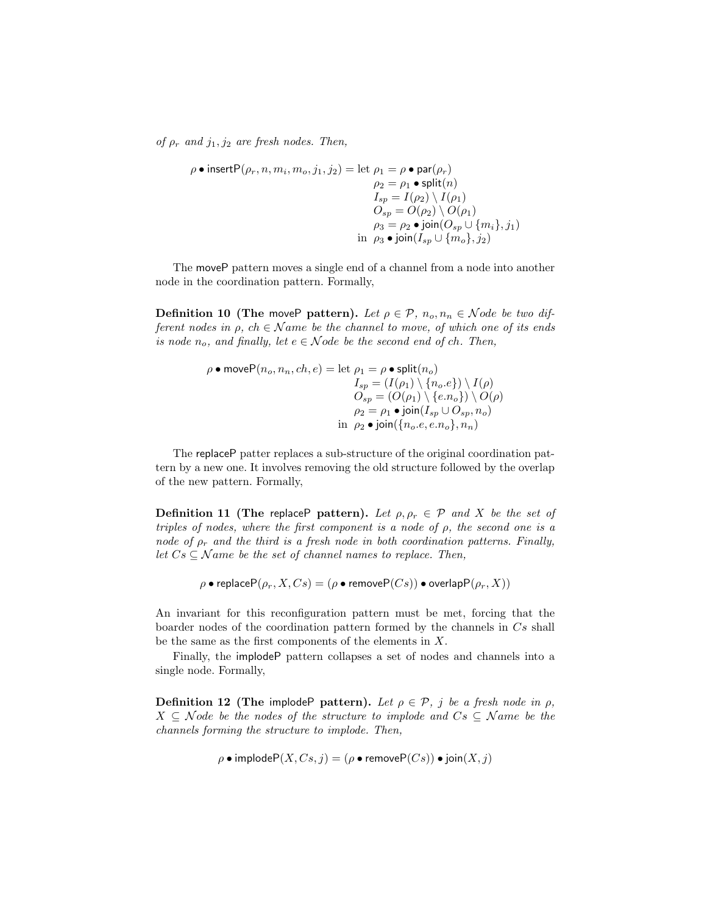of  $\rho_r$  and  $j_1, j_2$  are fresh nodes. Then,

$$
\rho \bullet \text{insertP}(\rho_r, n, m_i, m_o, j_1, j_2) = \text{let } \rho_1 = \rho \bullet \text{par}(\rho_r)
$$
  
\n
$$
\rho_2 = \rho_1 \bullet \text{split}(n)
$$
  
\n
$$
I_{sp} = I(\rho_2) \setminus I(\rho_1)
$$
  
\n
$$
O_{sp} = O(\rho_2) \setminus O(\rho_1)
$$
  
\n
$$
\rho_3 = \rho_2 \bullet \text{join}(O_{sp} \cup \{m_i\}, j_1)
$$
  
\n
$$
\text{in } \rho_3 \bullet \text{join}(I_{sp} \cup \{m_o\}, j_2)
$$

The moveP pattern moves a single end of a channel from a node into another node in the coordination pattern. Formally,

**Definition 10 (The moveP pattern).** Let  $\rho \in \mathcal{P}$ ,  $n_o, n_n \in \mathcal{N}$  ode be two different nodes in  $\rho$ , ch  $\in \mathcal{N}$  ame be the channel to move, of which one of its ends is node  $n_o$ , and finally, let  $e \in \mathcal{N}$ ode be the second end of ch. Then,

$$
\rho \bullet \text{moveP}(n_o, n_n, ch, e) = \text{let } \rho_1 = \rho \bullet \text{split}(n_o)
$$
  

$$
I_{sp} = (I(\rho_1) \setminus \{n_o.e\}) \setminus I(\rho)
$$
  

$$
O_{sp} = (O(\rho_1) \setminus \{e.n_o\}) \setminus O(\rho)
$$
  

$$
\rho_2 = \rho_1 \bullet \text{join}(I_{sp} \cup O_{sp}, n_o)
$$
  
in 
$$
\rho_2 \bullet \text{join}(\{n_o.e, e.n_o\}, n_n)
$$

The replaceP patter replaces a sub-structure of the original coordination pattern by a new one. It involves removing the old structure followed by the overlap of the new pattern. Formally,

**Definition 11 (The replaceP pattern).** Let  $\rho, \rho_r \in \mathcal{P}$  and X be the set of triples of nodes, where the first component is a node of  $\rho$ , the second one is a node of  $\rho_r$  and the third is a fresh node in both coordination patterns. Finally, let  $Cs \subseteq Name$  be the set of channel names to replace. Then,

$$
\rho \bullet \text{ replaceP}(\rho_r, X, Cs) = (\rho \bullet \text{ removeP}(Cs)) \bullet \text{ overlapP}(\rho_r, X))
$$

An invariant for this reconfiguration pattern must be met, forcing that the boarder nodes of the coordination pattern formed by the channels in  $Cs$  shall be the same as the first components of the elements in  $X$ .

Finally, the implodeP pattern collapses a set of nodes and channels into a single node. Formally,

<span id="page-7-0"></span>**Definition 12 (The implodeP pattern).** Let  $\rho \in \mathcal{P}$ , j be a fresh node in  $\rho$ ,  $X \subseteq Node$  be the nodes of the structure to implode and  $Cs \subseteq Name$  be the channels forming the structure to implode. Then,

$$
\rho \bullet \text{implodeP}(X, Cs, j) = (\rho \bullet \text{removeP}(Cs)) \bullet \text{join}(X, j)
$$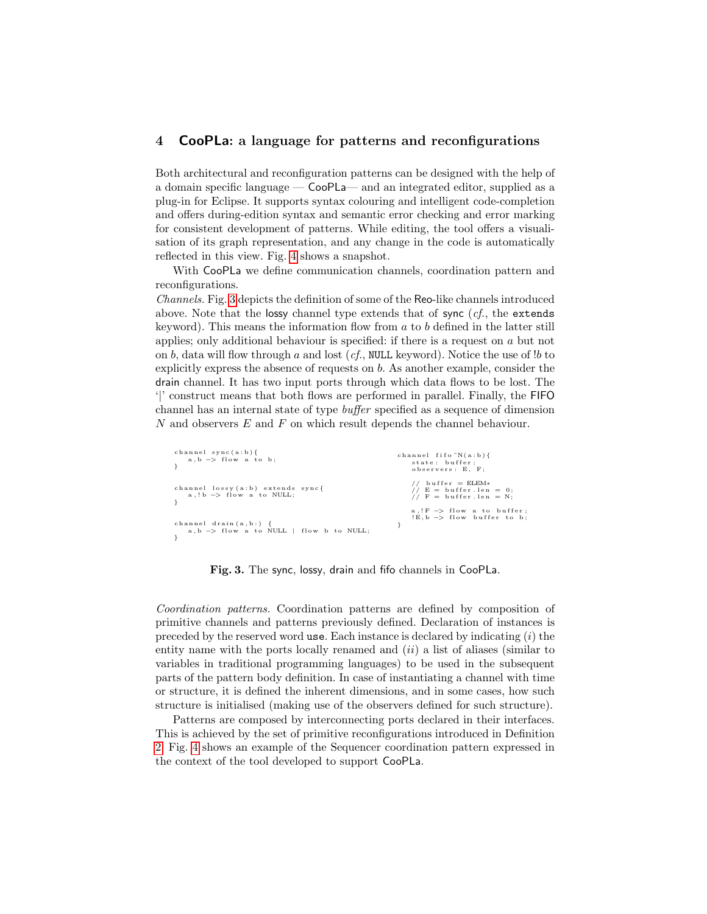#### <span id="page-8-0"></span>4 CooPLa: a language for patterns and reconfigurations

Both architectural and reconfiguration patterns can be designed with the help of a domain specific language — CooPLa— and an integrated editor, supplied as a plug-in for Eclipse. It supports syntax colouring and intelligent code-completion and offers during-edition syntax and semantic error checking and error marking for consistent development of patterns. While editing, the tool offers a visualisation of its graph representation, and any change in the code is automatically reflected in this view. Fig. [4](#page-9-1) shows a snapshot.

With CooPLa we define communication channels, coordination pattern and reconfigurations.

Channels. Fig. [3](#page-8-1) depicts the definition of some of the Reo-like channels introduced above. Note that the lossy channel type extends that of sync  $(cf,$ , the extends keyword). This means the information flow from  $a$  to  $b$  defined in the latter still applies; only additional behaviour is specified: if there is a request on a but not on  $b$ , data will flow through  $a$  and lost (cf., NULL keyword). Notice the use of  $!b$  to explicitly express the absence of requests on b. As another example, consider the drain channel. It has two input ports through which data flows to be lost. The '|' construct means that both flows are performed in parallel. Finally, the FIFO channel has an internal state of type buffer specified as a sequence of dimension  $N$  and observers  $E$  and  $F$  on which result depends the channel behaviour.

| channel sync $(a:b)$ {<br>$a, b \rightarrow flow$ a to b;                            | channel fifo $N(a:b)$ {<br>state: buffer;<br>observers: E, F;                       |
|--------------------------------------------------------------------------------------|-------------------------------------------------------------------------------------|
| channel lossy(a:b) extends sync{<br>$a$ , $b \Rightarrow$ flow a to NULL;            | // buffer $=$ ELEM*<br>// $E = buffer.length = 0$ ;<br>// $F = buffer.length = N$ ; |
| channel drain $(a, b: ) \ \{$<br>$a, b \Rightarrow$ flow a to NULL   flow b to NULL; | $a.F \rightarrow flow$ a to buffer;<br>$ E, b \rangle$ => flow buffer to b;         |

<span id="page-8-1"></span>Fig. 3. The sync, lossy, drain and fifo channels in CooPLa.

Coordination patterns. Coordination patterns are defined by composition of primitive channels and patterns previously defined. Declaration of instances is preceded by the reserved word use. Each instance is declared by indicating  $(i)$  the entity name with the ports locally renamed and  $(ii)$  a list of aliases (similar to variables in traditional programming languages) to be used in the subsequent parts of the pattern body definition. In case of instantiating a channel with time or structure, it is defined the inherent dimensions, and in some cases, how such structure is initialised (making use of the observers defined for such structure).

Patterns are composed by interconnecting ports declared in their interfaces. This is achieved by the set of primitive reconfigurations introduced in Definition [2.](#page-4-1) Fig. [4](#page-9-1) shows an example of the Sequencer coordination pattern expressed in the context of the tool developed to support CooPLa.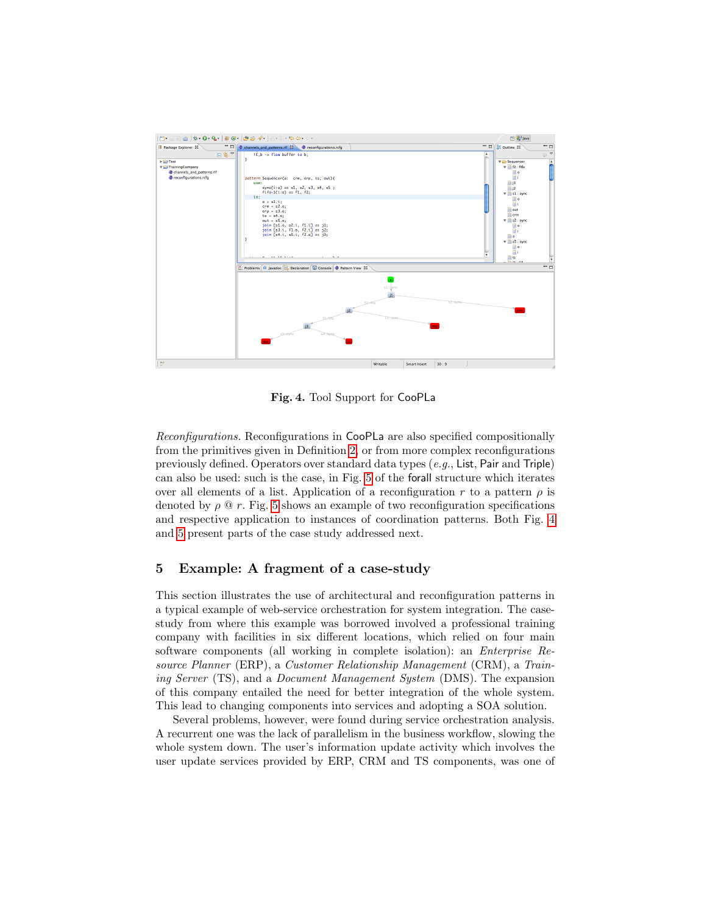

Fig. 4. Tool Support for CooPLa

<span id="page-9-1"></span>Reconfigurations. Reconfigurations in CooPLa are also specified compositionally from the primitives given in Definition [2,](#page-4-1) or from more complex reconfigurations previously defined. Operators over standard data types (e.g., List, Pair and Triple) can also be used: such is the case, in Fig. [5](#page-10-0) of the forall structure which iterates over all elements of a list. Application of a reconfiguration r to a pattern  $\rho$  is denoted by  $\rho \t{a} r$ . Fig. [5](#page-10-0) shows an example of two reconfiguration specifications and respective application to instances of coordination patterns. Both Fig. [4](#page-9-1) and [5](#page-10-0) present parts of the case study addressed next.

## <span id="page-9-0"></span>5 Example: A fragment of a case-study

This section illustrates the use of architectural and reconfiguration patterns in a typical example of web-service orchestration for system integration. The casestudy from where this example was borrowed involved a professional training company with facilities in six different locations, which relied on four main software components (all working in complete isolation): an Enterprise Resource Planner (ERP), a Customer Relationship Management (CRM), a Training Server (TS), and a Document Management System (DMS). The expansion of this company entailed the need for better integration of the whole system. This lead to changing components into services and adopting a SOA solution.

Several problems, however, were found during service orchestration analysis. A recurrent one was the lack of parallelism in the business workflow, slowing the whole system down. The user's information update activity which involves the user update services provided by ERP, CRM and TS components, was one of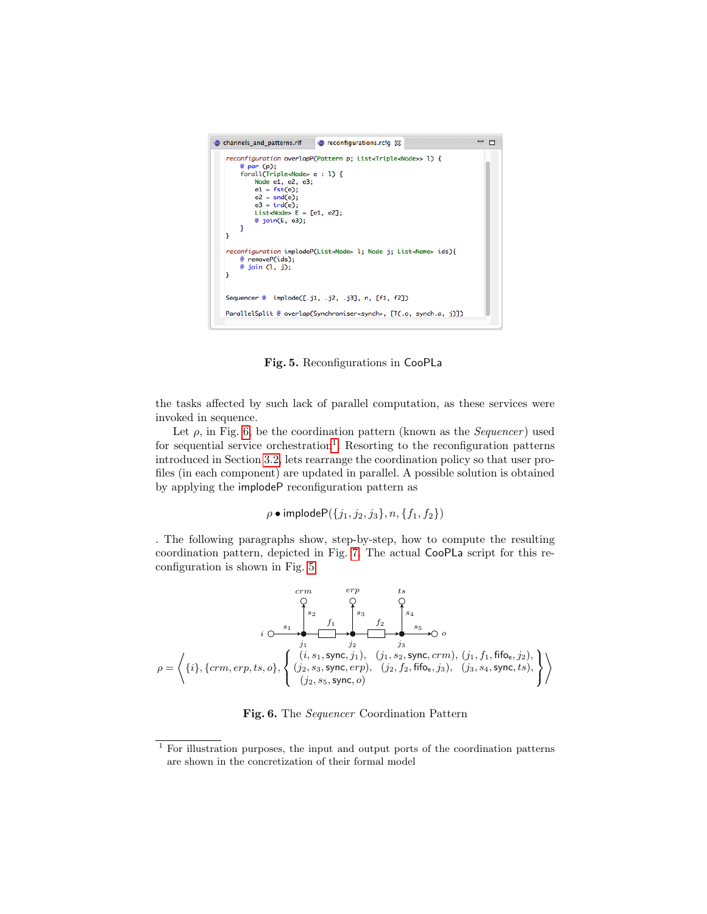

Fig. 5. Reconfigurations in CooPLa

<span id="page-10-0"></span>the tasks affected by such lack of parallel computation, as these services were invoked in sequence.

Let  $\rho$ , in Fig. [6,](#page-10-1) be the coordination pattern (known as the *Sequencer*) used for sequential service orchestration<sup>[1](#page-10-2)</sup>. Resorting to the reconfiguration patterns introduced in Section [3.2,](#page-5-0) lets rearrange the coordination policy so that user profiles (in each component) are updated in parallel. A possible solution is obtained by applying the implodeP reconfiguration pattern as

$$
\rho \bullet \mathsf{implodeP}(\{j_1,j_2,j_3\}, n, \{f_1,f_2\})
$$

. The following paragraphs show, step-by-step, how to compute the resulting coordination pattern, depicted in Fig. [7.](#page-11-0) The actual CooPLa script for this reconfiguration is shown in Fig. [5.](#page-10-0)

i o crm erp ts j<sup>1</sup> j<sup>2</sup> j<sup>3</sup> s1 s2 f1 s3 f2 s4 s5 ρ = \* {i}, {crm, erp, ts, o}, (i, s1,sync, j1), (j1, s2,sync, crm), (j1, f1, fifoe, j2), (j2, s3,sync, erp), (j2, f2, fifoe, j3), (j3, s4,sync, ts), (j2, s5,sync, o) +

Fig. 6. The Sequencer Coordination Pattern

<span id="page-10-2"></span><span id="page-10-1"></span><sup>1</sup> For illustration purposes, the input and output ports of the coordination patterns are shown in the concretization of their formal model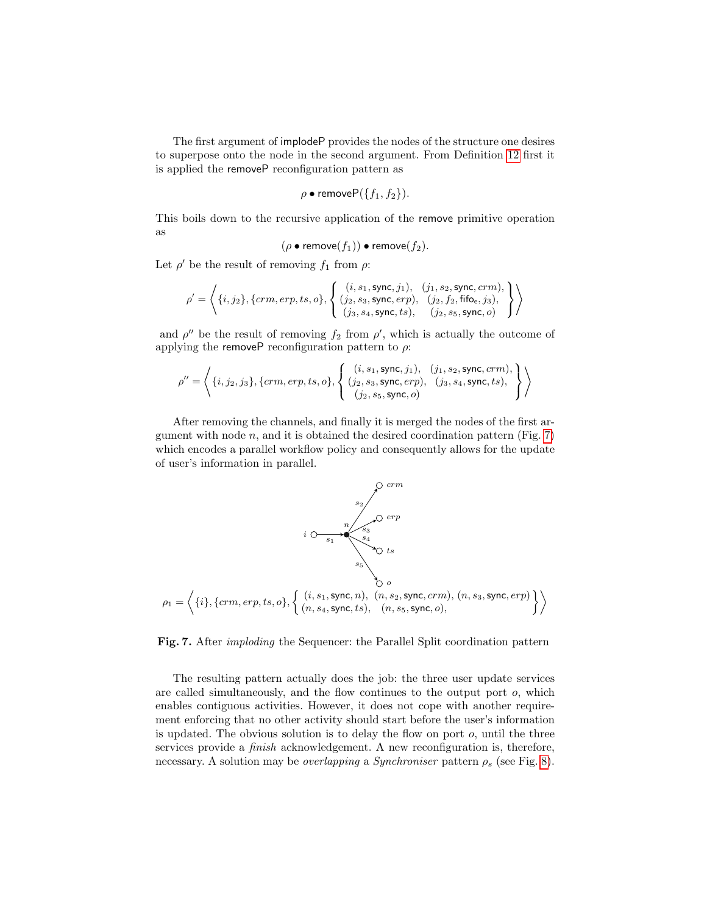The first argument of implodeP provides the nodes of the structure one desires to superpose onto the node in the second argument. From Definition [12](#page-7-0) first it is applied the removeP reconfiguration pattern as

$$
\rho \bullet \mathsf{removeP}(\{f_1, f_2\}).
$$

This boils down to the recursive application of the remove primitive operation as

$$
(\rho \bullet \mathsf{remove}(f_1)) \bullet \mathsf{remove}(f_2).
$$

Let  $\rho'$  be the result of removing  $f_1$  from  $\rho$ :

$$
\rho'=\left\langle \{i,j_2\},\{crm,erp, ts, o\}, \left\{ \begin{matrix} (i,s_1,\text{sync},j_1),&(j_1,s_2,\text{sync},crm),\\ (j_2,s_3,\text{sync},erp),&(j_2,f_2,\text{fifo}_\text{e},j_3),\\ (j_3,s_4,\text{sync},ts),&(j_2,s_5,\text{sync},o) \end{matrix} \right\} \right\rangle
$$

and  $\rho''$  be the result of removing  $f_2$  from  $\rho'$ , which is actually the outcome of applying the removeP reconfiguration pattern to  $\rho$ :

$$
\rho'' = \left\langle \{i, j_2, j_3\}, \{crm, erp, ts, o\}, \left\{ \begin{array}{ll} (i, s_1, \text{sync}, j_1), & (j_1, s_2, \text{sync}, crm), \\ (j_2, s_3, \text{sync}, erp), & (j_3, s_4, \text{sync}, ts), \\ (j_2, s_5, \text{sync}, o) \end{array} \right\} \right\rangle
$$

After removing the channels, and finally it is merged the nodes of the first argument with node  $n$ , and it is obtained the desired coordination pattern (Fig. [7\)](#page-11-0) which encodes a parallel workflow policy and consequently allows for the update of user's information in parallel.



<span id="page-11-0"></span>Fig. 7. After imploding the Sequencer: the Parallel Split coordination pattern

The resulting pattern actually does the job: the three user update services are called simultaneously, and the flow continues to the output port  $o$ , which enables contiguous activities. However, it does not cope with another requirement enforcing that no other activity should start before the user's information is updated. The obvious solution is to delay the flow on port  $o$ , until the three services provide a *finish* acknowledgement. A new reconfiguration is, therefore, necessary. A solution may be *overlapping* a *Synchroniser* pattern  $\rho_s$  (see Fig. [8\)](#page-12-1).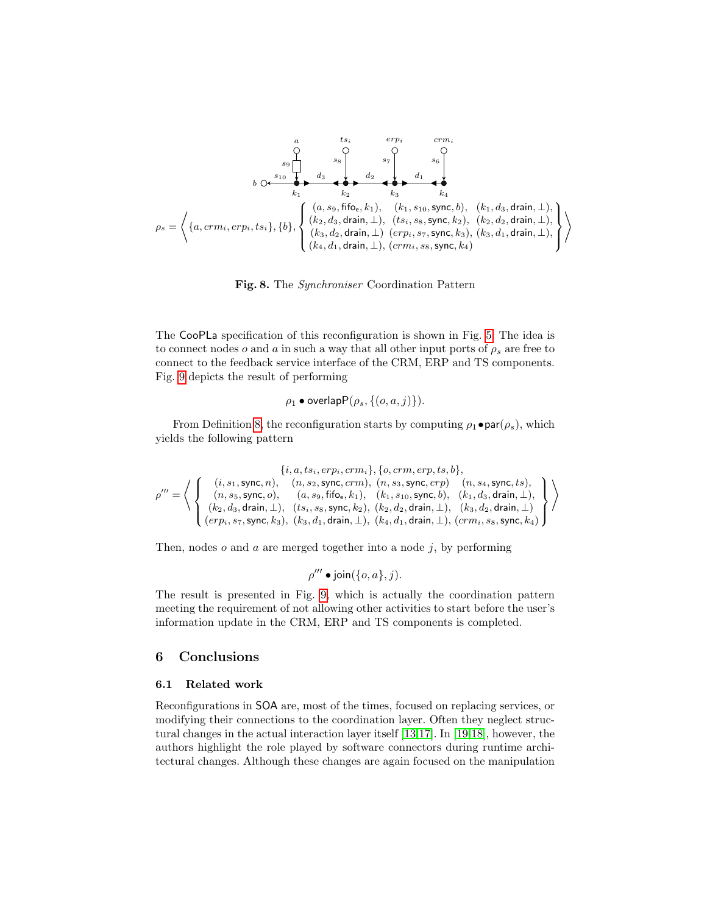$$
\rho_s=\left\langle\{a,crm_i,erp_i, ts_i\}, \{b\}, \begin{Bmatrix} a & ts_i & err_i & crm_i \\ \begin{matrix} s_9 \end{matrix} & s_8 \end{Bmatrix}, \begin{Bmatrix} c_8 \end{Bmatrix}, \begin{matrix} s_7 \end{matrix} & s_6 \end{Bmatrix}, \begin{matrix} c_8 \end{matrix} \end{Bmatrix}, \begin{matrix} s_9 \end{matrix} \end{Bmatrix}, \begin{matrix} s_1 \end{matrix} \end{Bmatrix}, \begin{matrix} s_2 \end{matrix} \end{Bmatrix}, \begin{matrix} s_3 \end{matrix} \end{Bmatrix}, \begin{matrix} s_4 \end{matrix} \end{Bmatrix}, \begin{matrix} s_2 \end{matrix} \end{Bmatrix}, \begin{matrix} s_3 \end{matrix} \end{Bmatrix}, \begin{matrix} s_4 \end{matrix} \end{Bmatrix}, \begin{matrix} s_5 \end{matrix} \end{Bmatrix}, \begin{matrix} s_6 \end{matrix} \end{matrix}, \begin{matrix} s_7 \end{matrix} \end{Bmatrix}, \begin{matrix} s_8 \end{matrix} \end{Bmatrix}, \begin{matrix} s_1 \end{matrix} \end{matrix}, \begin{matrix} s_2 \end{matrix} \end{matrix}, \begin{matrix} s_1 \end{matrix} \end{matrix}, \begin{matrix} s_1 \end{matrix} \end{matrix}, \begin{matrix} s_2 \end{matrix} \end{matrix}, \begin{matrix} s_3 \end{matrix} \end{matrix}, \begin{matrix} s_1 \end{matrix} \end{matrix}, \begin{matrix} s_1 \end{matrix} \end{matrix}, \begin{matrix} s_2 \end{matrix} \end{matrix}, \begin{matrix} s_3 \end{matrix} \end{matrix}, \begin{matrix} s_4 \end{matrix} \end{matrix}, \begin{matrix} s_1 \end{matrix} \end{matrix}, \begin{matrix} s_1 \end{matrix} \end{matrix}, \begin{matrix} s_1 \end{matrix} \end{matrix}, \begin{matrix} s_1 \end{matrix} \end{matrix}, \begin{matrix} s_1 \end{matrix} \end{matrix}, \begin{matrix} s_1 \end{matrix} \end{matrix}, \begin{matrix} s_2 \end{matrix} \end{matrix}, \begin{matrix} s_1 \end{matrix} \end{matrix}, \begin{matrix} s_2 \end{matrix} \end{matrix}, \begin{matrix} s_1 \end{matrix} \end{matrix}, \begin{matrix} s_1 \end{matrix} \end{matrix}, \begin{matrix} s_2 \end{matrix
$$

Fig. 8. The Synchroniser Coordination Pattern

<span id="page-12-1"></span>The CooPLa specification of this reconfiguration is shown in Fig. [5.](#page-10-0) The idea is to connect nodes o and a in such a way that all other input ports of  $\rho_s$  are free to connect to the feedback service interface of the CRM, ERP and TS components. Fig. [9](#page-13-0) depicts the result of performing

$$
\rho_1 \bullet \text{overlapP}(\rho_s, \{(o, a, j)\}).
$$

From Definition [8,](#page-6-1) the reconfiguration starts by computing  $\rho_1 \bullet$ **par**( $\rho_s$ ), which yields the following pattern

$$
\rho''' = \left\langle \left\{ \begin{array}{c} (i, s_1, \mathsf{sync}, n), \quad (n, s_2, \mathsf{sync}, crm, \{r, erp, ts, b\}, \\ (n, s_5, \mathsf{sync}, n), \quad (n, s_2, \mathsf{sync}, crm), \quad (n, s_3, \mathsf{sync}, erp) \quad (n, s_4, \mathsf{sync}, ts), \\ (n, s_5, \mathsf{sync}, o), \quad (a, s_9, \mathsf{fifo}_\mathsf{e}, k_1), \quad (k_1, s_{10}, \mathsf{sync}, b), \quad (k_1, d_3, \mathsf{drain}, \bot), \\ (k_2, d_3, \mathsf{drain}, \bot), \quad (ts_i, s_8, \mathsf{sync}, k_2), \quad (k_2, d_2, \mathsf{drain}, \bot), \quad (k_3, d_2, \mathsf{drain}, \bot) \\ (erp_i, s_7, \mathsf{sync}, k_3), \quad (k_3, d_1, \mathsf{drain}, \bot), \quad (k_4, d_1, \mathsf{drain}, \bot), \quad (crm_i, s_8, \mathsf{sync}, k_4) \end{array} \right\rangle
$$

Then, nodes  $o$  and  $a$  are merged together into a node  $j$ , by performing

$$
\rho''' \bullet \text{join}(\{o, a\}, j).
$$

The result is presented in Fig. [9,](#page-13-0) which is actually the coordination pattern meeting the requirement of not allowing other activities to start before the user's information update in the CRM, ERP and TS components is completed.

#### <span id="page-12-0"></span>6 Conclusions

#### 6.1 Related work

Reconfigurations in SOA are, most of the times, focused on replacing services, or modifying their connections to the coordination layer. Often they neglect structural changes in the actual interaction layer itself [\[13,](#page-15-6)[17\]](#page-15-7). In [\[19,](#page-15-5)[18\]](#page-15-8), however, the authors highlight the role played by software connectors during runtime architectural changes. Although these changes are again focused on the manipulation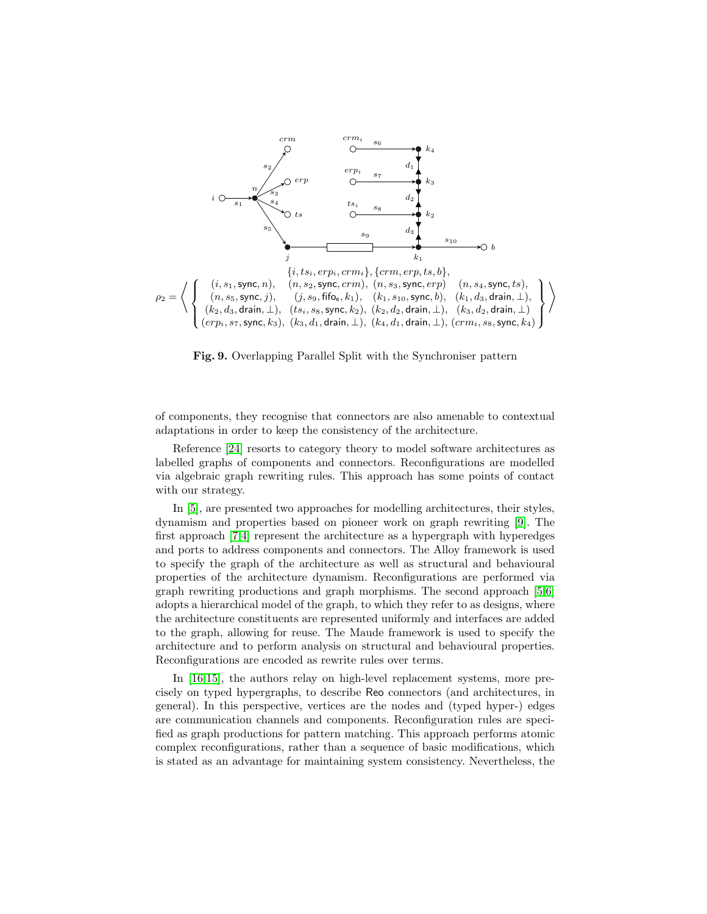

<span id="page-13-0"></span>Fig. 9. Overlapping Parallel Split with the Synchroniser pattern

of components, they recognise that connectors are also amenable to contextual adaptations in order to keep the consistency of the architecture.

Reference [\[24\]](#page-16-3) resorts to category theory to model software architectures as labelled graphs of components and connectors. Reconfigurations are modelled via algebraic graph rewriting rules. This approach has some points of contact with our strategy.

In [\[5\]](#page-14-3), are presented two approaches for modelling architectures, their styles, dynamism and properties based on pioneer work on graph rewriting [\[9\]](#page-15-10). The first approach [\[7](#page-15-11)[,4\]](#page-14-4) represent the architecture as a hypergraph with hyperedges and ports to address components and connectors. The Alloy framework is used to specify the graph of the architecture as well as structural and behavioural properties of the architecture dynamism. Reconfigurations are performed via graph rewriting productions and graph morphisms. The second approach [\[5,](#page-14-3)[6\]](#page-14-5) adopts a hierarchical model of the graph, to which they refer to as designs, where the architecture constituents are represented uniformly and interfaces are added to the graph, allowing for reuse. The Maude framework is used to specify the architecture and to perform analysis on structural and behavioural properties. Reconfigurations are encoded as rewrite rules over terms.

In [\[16,](#page-15-12)[15\]](#page-15-13), the authors relay on high-level replacement systems, more precisely on typed hypergraphs, to describe Reo connectors (and architectures, in general). In this perspective, vertices are the nodes and (typed hyper-) edges are communication channels and components. Reconfiguration rules are specified as graph productions for pattern matching. This approach performs atomic complex reconfigurations, rather than a sequence of basic modifications, which is stated as an advantage for maintaining system consistency. Nevertheless, the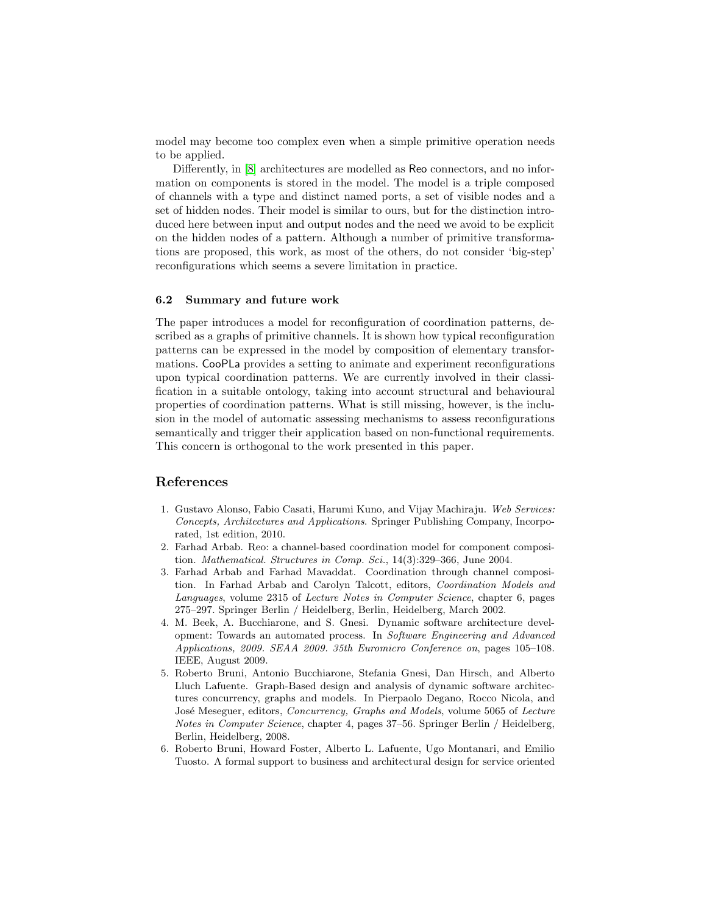model may become too complex even when a simple primitive operation needs to be applied.

Differently, in [\[8\]](#page-15-14) architectures are modelled as Reo connectors, and no information on components is stored in the model. The model is a triple composed of channels with a type and distinct named ports, a set of visible nodes and a set of hidden nodes. Their model is similar to ours, but for the distinction introduced here between input and output nodes and the need we avoid to be explicit on the hidden nodes of a pattern. Although a number of primitive transformations are proposed, this work, as most of the others, do not consider 'big-step' reconfigurations which seems a severe limitation in practice.

#### 6.2 Summary and future work

The paper introduces a model for reconfiguration of coordination patterns, described as a graphs of primitive channels. It is shown how typical reconfiguration patterns can be expressed in the model by composition of elementary transformations. CooPLa provides a setting to animate and experiment reconfigurations upon typical coordination patterns. We are currently involved in their classification in a suitable ontology, taking into account structural and behavioural properties of coordination patterns. What is still missing, however, is the inclusion in the model of automatic assessing mechanisms to assess reconfigurations semantically and trigger their application based on non-functional requirements. This concern is orthogonal to the work presented in this paper.

## References

- <span id="page-14-0"></span>1. Gustavo Alonso, Fabio Casati, Harumi Kuno, and Vijay Machiraju. Web Services: Concepts, Architectures and Applications. Springer Publishing Company, Incorporated, 1st edition, 2010.
- <span id="page-14-2"></span>2. Farhad Arbab. Reo: a channel-based coordination model for component composition. Mathematical. Structures in Comp. Sci., 14(3):329–366, June 2004.
- <span id="page-14-1"></span>3. Farhad Arbab and Farhad Mavaddat. Coordination through channel composition. In Farhad Arbab and Carolyn Talcott, editors, Coordination Models and Languages, volume 2315 of Lecture Notes in Computer Science, chapter 6, pages 275–297. Springer Berlin / Heidelberg, Berlin, Heidelberg, March 2002.
- <span id="page-14-4"></span>4. M. Beek, A. Bucchiarone, and S. Gnesi. Dynamic software architecture development: Towards an automated process. In Software Engineering and Advanced Applications, 2009. SEAA 2009. 35th Euromicro Conference on, pages 105–108. IEEE, August 2009.
- <span id="page-14-3"></span>5. Roberto Bruni, Antonio Bucchiarone, Stefania Gnesi, Dan Hirsch, and Alberto Lluch Lafuente. Graph-Based design and analysis of dynamic software architectures concurrency, graphs and models. In Pierpaolo Degano, Rocco Nicola, and José Meseguer, editors, Concurrency, Graphs and Models, volume 5065 of Lecture Notes in Computer Science, chapter 4, pages 37–56. Springer Berlin / Heidelberg, Berlin, Heidelberg, 2008.
- <span id="page-14-5"></span>6. Roberto Bruni, Howard Foster, Alberto L. Lafuente, Ugo Montanari, and Emilio Tuosto. A formal support to business and architectural design for service oriented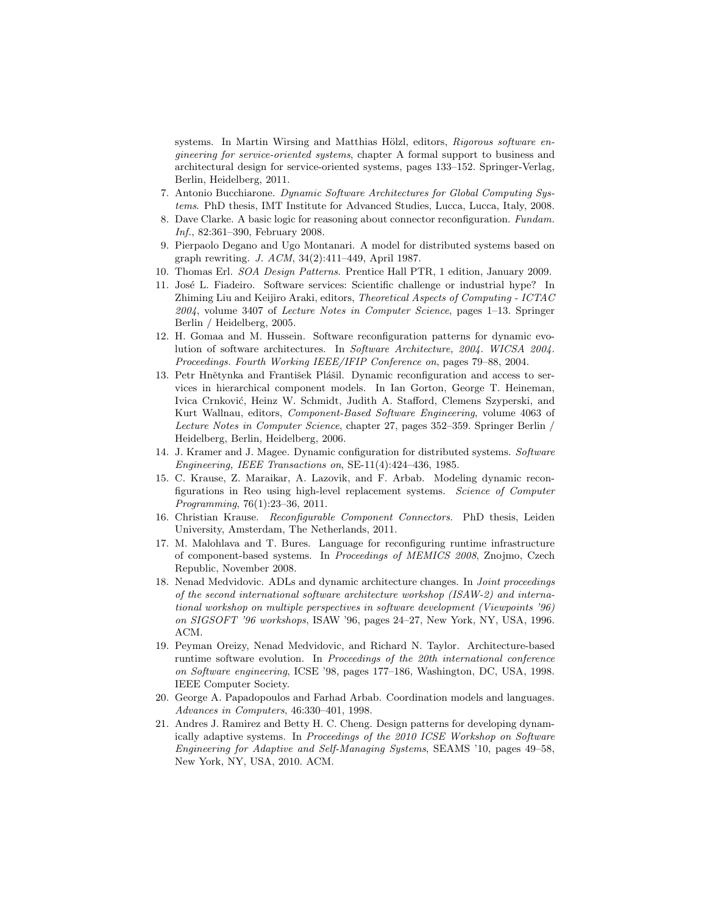systems. In Martin Wirsing and Matthias Hölzl, editors, Rigorous software engineering for service-oriented systems, chapter A formal support to business and architectural design for service-oriented systems, pages 133–152. Springer-Verlag, Berlin, Heidelberg, 2011.

- <span id="page-15-11"></span>7. Antonio Bucchiarone. Dynamic Software Architectures for Global Computing Systems. PhD thesis, IMT Institute for Advanced Studies, Lucca, Lucca, Italy, 2008.
- <span id="page-15-14"></span>8. Dave Clarke. A basic logic for reasoning about connector reconfiguration. Fundam. Inf., 82:361–390, February 2008.
- <span id="page-15-10"></span>9. Pierpaolo Degano and Ugo Montanari. A model for distributed systems based on graph rewriting. J. ACM, 34(2):411–449, April 1987.
- <span id="page-15-0"></span>10. Thomas Erl. SOA Design Patterns. Prentice Hall PTR, 1 edition, January 2009.
- <span id="page-15-1"></span>11. Jos´e L. Fiadeiro. Software services: Scientific challenge or industrial hype? In Zhiming Liu and Keijiro Araki, editors, Theoretical Aspects of Computing - ICTAC  $2004$ , volume 3407 of *Lecture Notes in Computer Science*, pages  $1-13$ . Springer Berlin / Heidelberg, 2005.
- <span id="page-15-3"></span>12. H. Gomaa and M. Hussein. Software reconfiguration patterns for dynamic evolution of software architectures. In Software Architecture, 2004. WICSA 2004. Proceedings. Fourth Working IEEE/IFIP Conference on, pages 79–88, 2004.
- <span id="page-15-6"></span>13. Petr Hnětynka and František Plášil. Dynamic reconfiguration and access to services in hierarchical component models. In Ian Gorton, George T. Heineman, Ivica Crnković, Heinz W. Schmidt, Judith A. Stafford, Clemens Szyperski, and Kurt Wallnau, editors, Component-Based Software Engineering, volume 4063 of Lecture Notes in Computer Science, chapter 27, pages 352–359. Springer Berlin / Heidelberg, Berlin, Heidelberg, 2006.
- <span id="page-15-2"></span>14. J. Kramer and J. Magee. Dynamic configuration for distributed systems. Software Engineering, IEEE Transactions on, SE-11(4):424–436, 1985.
- <span id="page-15-13"></span>15. C. Krause, Z. Maraikar, A. Lazovik, and F. Arbab. Modeling dynamic reconfigurations in Reo using high-level replacement systems. Science of Computer Programming, 76(1):23–36, 2011.
- <span id="page-15-12"></span>16. Christian Krause. Reconfigurable Component Connectors. PhD thesis, Leiden University, Amsterdam, The Netherlands, 2011.
- <span id="page-15-7"></span>17. M. Malohlava and T. Bures. Language for reconfiguring runtime infrastructure of component-based systems. In Proceedings of MEMICS 2008, Znojmo, Czech Republic, November 2008.
- <span id="page-15-8"></span>18. Nenad Medvidovic. ADLs and dynamic architecture changes. In Joint proceedings of the second international software architecture workshop (ISAW-2) and international workshop on multiple perspectives in software development (Viewpoints '96) on SIGSOFT '96 workshops, ISAW '96, pages 24–27, New York, NY, USA, 1996. ACM.
- <span id="page-15-5"></span>19. Peyman Oreizy, Nenad Medvidovic, and Richard N. Taylor. Architecture-based runtime software evolution. In Proceedings of the 20th international conference on Software engineering, ICSE '98, pages 177–186, Washington, DC, USA, 1998. IEEE Computer Society.
- <span id="page-15-9"></span>20. George A. Papadopoulos and Farhad Arbab. Coordination models and languages. Advances in Computers, 46:330–401, 1998.
- <span id="page-15-4"></span>21. Andres J. Ramirez and Betty H. C. Cheng. Design patterns for developing dynamically adaptive systems. In Proceedings of the 2010 ICSE Workshop on Software Engineering for Adaptive and Self-Managing Systems, SEAMS '10, pages 49–58, New York, NY, USA, 2010. ACM.